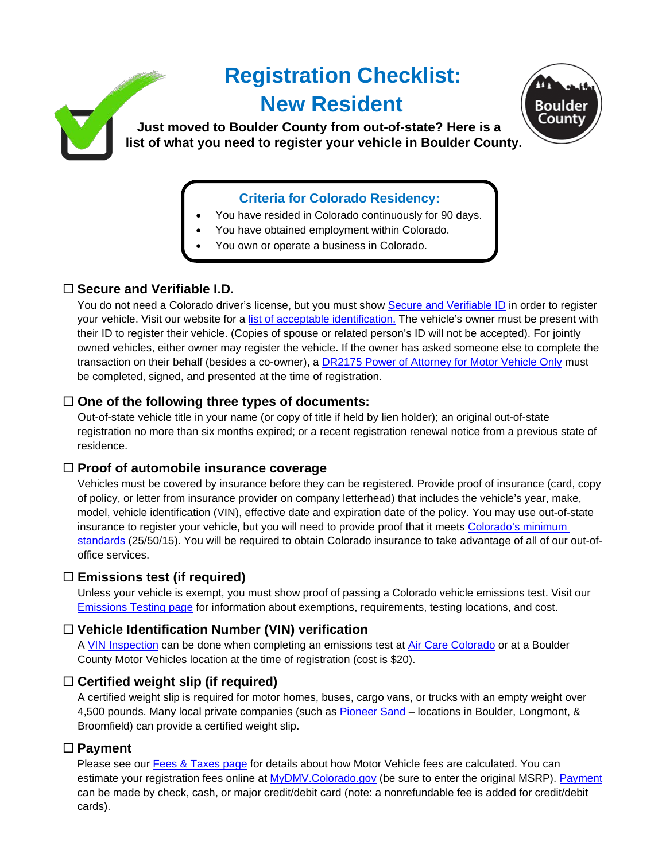# **Registration Checklist: New Resident Just moved to Boulder County from out-of-state? Here is a list of what you need to register your vehicle in Boulder County.**



- You have resided in Colorado continuously for 90 days.
- You have obtained employment within Colorado.
- You own or operate a business in Colorado.

## **Secure and Verifiable I.D.**

You do not need a Colorado driver's license, but you must show [Secure and Verifiable ID](https://www.bouldercounty.org/records/motor-vehicle/secure-id/) in order to register your vehicle. Visit our website for a [list of acceptable identification.](https://www.bouldercounty.org/records/motor-vehicle/secure-id/) The vehicle's owner must be present with their ID to register their vehicle. (Copies of spouse or related person's ID will not be accepted). For jointly owned vehicles, either owner may register the vehicle. If the owner has asked someone else to complete the transaction on their behalf (besides a co-owner), a [DR2175 Power of Attorney for Motor Vehicle Only](https://www.colorado.gov/pacific/sites/default/files/DR2175.pdf) must be completed, signed, and presented at the time of registration.

## **One of the following three types of documents:**

Out-of-state vehicle title in your name (or copy of title if held by lien holder); an original out-of-state registration no more than six months expired; or a recent registration renewal notice from a previous state of residence.

#### **Proof of automobile insurance coverage**

Vehicles must be covered by insurance before they can be registered. Provide proof of insurance (card, copy of policy, or letter from insurance provider on company letterhead) that includes the vehicle's year, make, model, vehicle identification (VIN), effective date and expiration date of the policy. You may use out-of-state insurance to register your vehicle, but you will need to provide proof that it meets [Colorado's minimum](https://www.bouldercounty.org/records/motor-vehicle/additional-motor-vehicle-resources/auto-insurance-requirements/)  [standards](https://www.bouldercounty.org/records/motor-vehicle/additional-motor-vehicle-resources/auto-insurance-requirements/) (25/50/15). You will be required to obtain Colorado insurance to take advantage of all of our out-ofoffice services.

#### **Emissions test (if required)**

Unless your vehicle is exempt, you must show proof of passing a Colorado vehicle emissions test. Visit our [Emissions Testing page](https://www.bouldercounty.org/records/motor-vehicle/emissions-testing-requirements/) for information about exemptions, requirements, testing locations, and cost.

#### **Vehicle Identification Number (VIN) verification**

A [VIN Inspection](https://www.bouldercounty.org/records/motor-vehicle/additional-motor-vehicle-resources/vin-inspections/) can be done when completing an emissions test at [Air Care Colorado](https://aircarecolorado.com/) or at a Boulder County Motor Vehicles location at the time of registration (cost is \$20).

#### **Certified weight slip (if required)**

A certified weight slip is required for motor homes, buses, cargo vans, or trucks with an empty weight over 4,500 pounds. Many local private companies (such as **Pioneer Sand** – locations in Boulder, Longmont, & Broomfield) can provide a certified weight slip.

#### **Payment**

Please see our **[Fees & Taxes page](https://www.bouldercounty.org/records/motor-vehicle/additional-motor-vehicle-resources/fees-and-taxes/) for details about how Motor Vehicle fees are calculated. You can** estimate your registration fees online at [MyDMV.Colorado.gov](https://mydmv.colorado.gov/_/) (be sure to enter the original MSRP). [Payment](https://www.bouldercounty.org/records/motor-vehicle/additional-motor-vehicle-resources/payments/) can be made by check, cash, or major credit/debit card (note: a nonrefundable fee is added for credit/debit cards).